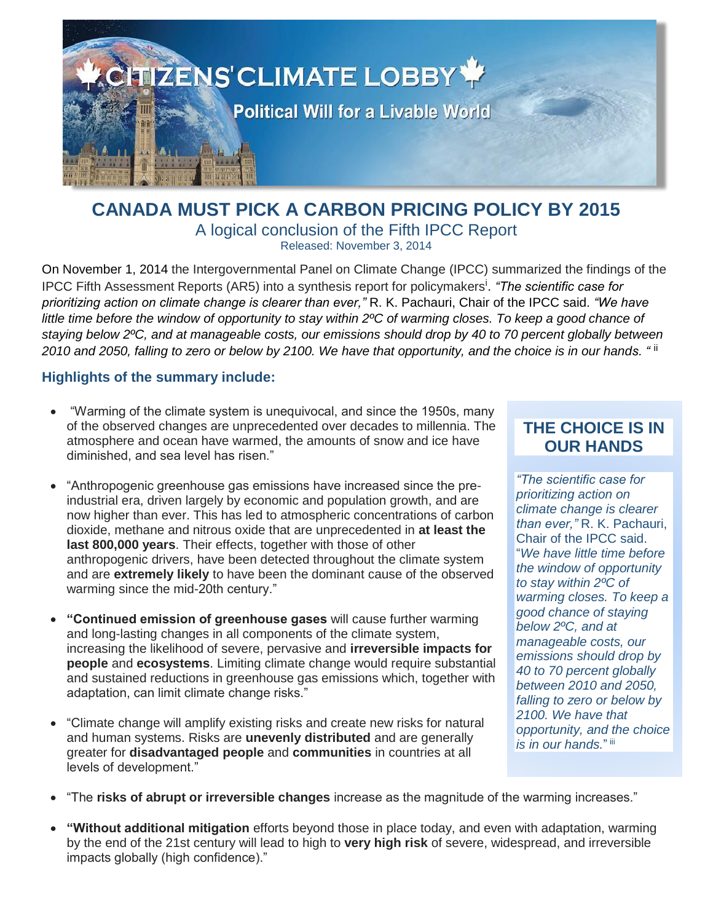

### **CANADA MUST PICK A CARBON PRICING POLICY BY 2015** A logical conclusion of the Fifth IPCC Report Released: November 3, 2014

On November 1, 2014 the Intergovernmental Panel on Climate Change (IPCC) summarized the findings of the IPCC Fifth Assessment Reports (AR5) into a synthesis report for policymakers<sup>i</sup>. "The scientific case for *prioritizing action on climate change is clearer than ever,"* R. K. Pachauri, Chair of the IPCC said*. "We have little time before the window of opportunity to stay within 2ºC of warming closes. To keep a good chance of staying below 2ºC, and at manageable costs, our emissions should drop by 40 to 70 percent globally between 2010 and 2050, falling to zero or below by 2100. We have that opportunity, and the choice is in our hands. "* ii

#### **Highlights of the summary include:**

- "Warming of the climate system is unequivocal, and since the 1950s, many of the observed changes are unprecedented over decades to millennia. The atmosphere and ocean have warmed, the amounts of snow and ice have diminished, and sea level has risen."
- "Anthropogenic greenhouse gas emissions have increased since the preindustrial era, driven largely by economic and population growth, and are now higher than ever. This has led to atmospheric concentrations of carbon dioxide, methane and nitrous oxide that are unprecedented in **at least the last 800,000 years**. Their effects, together with those of other anthropogenic drivers, have been detected throughout the climate system and are **extremely likely** to have been the dominant cause of the observed warming since the mid-20th century."
- **"Continued emission of greenhouse gases** will cause further warming and long-lasting changes in all components of the climate system, increasing the likelihood of severe, pervasive and **irreversible impacts for people** and **ecosystems**. Limiting climate change would require substantial and sustained reductions in greenhouse gas emissions which, together with adaptation, can limit climate change risks."
- "Climate change will amplify existing risks and create new risks for natural and human systems. Risks are **unevenly distributed** and are generally greater for **disadvantaged people** and **communities** in countries at all levels of development."

# **THE CHOICE IS IN OUR HANDS**

*"The scientific case for prioritizing action on climate change is clearer than ever,"* R. K. Pachauri, Chair of the IPCC said. "*We have little time before the window of opportunity to stay within 2ºC of warming closes. To keep a good chance of staying below 2ºC, and at manageable costs, our emissions should drop by 40 to 70 percent globally between 2010 and 2050, falling to zero or below by 2100. We have that opportunity, and the choice is in our hands.*"<sup>iii</sup>

- "The **risks of abrupt or irreversible changes** increase as the magnitude of the warming increases."
- **"Without additional mitigation** efforts beyond those in place today, and even with adaptation, warming by the end of the 21st century will lead to high to **very high risk** of severe, widespread, and irreversible impacts globally (high confidence)."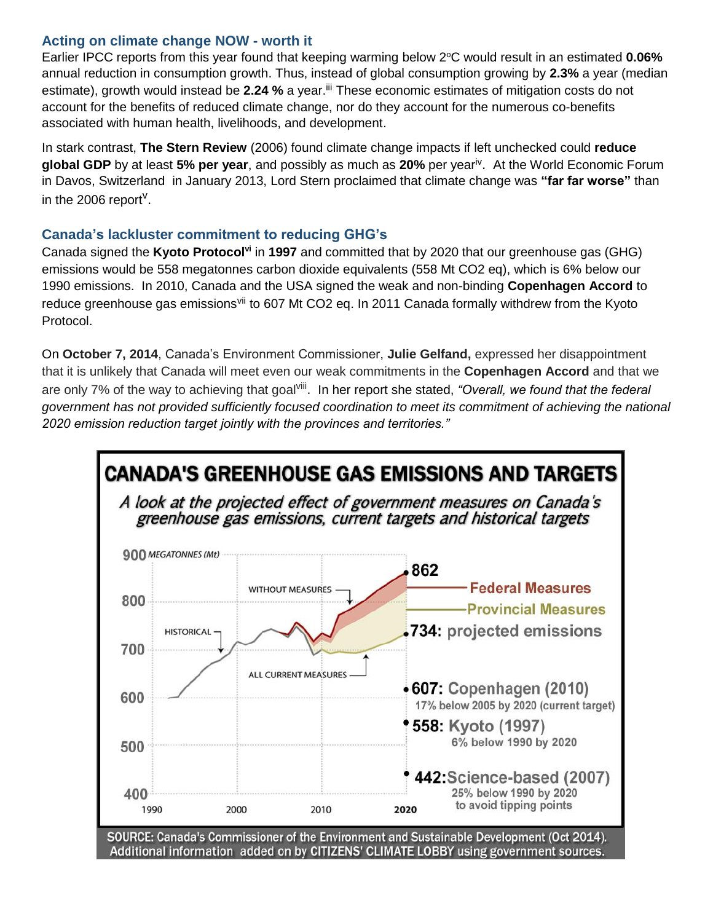#### **Acting on climate change NOW - worth it**

Earlier IPCC reports from this year found that keeping warming below 2°C would result in an estimated **0.06%** annual reduction in consumption growth. Thus, instead of global consumption growing by **2.3%** a year (median estimate), growth would instead be 2.24 % a year.<sup>iii</sup> These economic estimates of mitigation costs do not account for the benefits of reduced climate change, nor do they account for the numerous co-benefits associated with human health, livelihoods, and development.

In stark contrast, **The Stern Review** (2006) found climate change impacts if left unchecked could **reduce global GDP** by at least **5% per year**, and possibly as much as **20%** per yeariv . At the World Economic Forum in Davos, Switzerland in January 2013, Lord Stern proclaimed that climate change was **"far far worse"** than in the 2006 report<sup>v</sup>.

### **Canada's lackluster commitment to reducing GHG's**

Canada signed the **Kyoto Protocolvi** in **1997** and committed that by 2020 that our greenhouse gas (GHG) emissions would be 558 megatonnes carbon dioxide equivalents (558 Mt CO2 eq), which is 6% below our 1990 emissions. In 2010, Canada and the USA signed the weak and non-binding **Copenhagen Accord** to reduce greenhouse gas emissions<sup>vii</sup> to 607 Mt CO2 eg. In 2011 Canada formally withdrew from the Kyoto Protocol.

On **October 7, 2014**, Canada's Environment Commissioner, **Julie Gelfand,** expressed her disappointment that it is unlikely that Canada will meet even our weak commitments in the **Copenhagen Accord** and that we are only 7% of the way to achieving that goal<sup>viii</sup>. In her report she stated, *"Overall, we found that the federal government has not provided sufficiently focused coordination to meet its commitment of achieving the national 2020 emission reduction target jointly with the provinces and territories."*

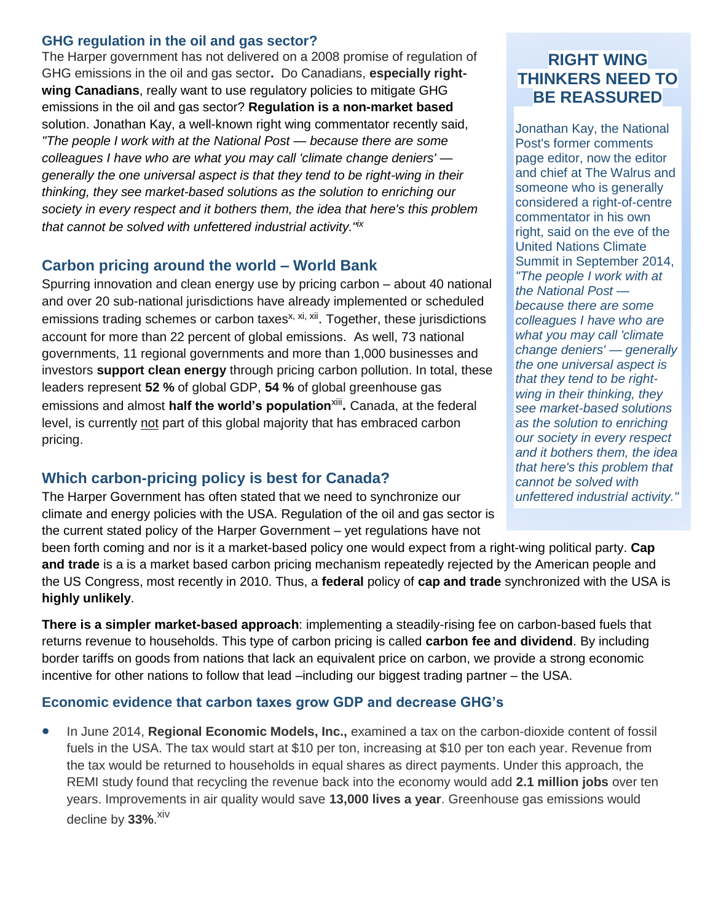#### **GHG regulation in the oil and gas sector?**

The Harper government has not delivered on a 2008 promise of regulation of GHG emissions in the oil and gas sector**.** Do Canadians, **especially rightwing Canadians**, really want to use regulatory policies to mitigate GHG emissions in the oil and gas sector? **Regulation is a non-market based** solution. Jonathan Kay, a well-known right wing commentator recently said, *"The people I work with at the National Post — because there are some colleagues I have who are what you may call 'climate change deniers' generally the one universal aspect is that they tend to be right-wing in their thinking, they see market-based solutions as the solution to enriching our society in every respect and it bothers them, the idea that here's this problem that cannot be solved with unfettered industrial activity."ix*

#### **Carbon pricing around the world – World Bank**

Spurring innovation and clean energy use by pricing carbon – about 40 national and over 20 sub-national jurisdictions have already implemented or scheduled emissions trading schemes or carbon taxes<sup>x, xi, xii</sup>. Together, these jurisdictions account for more than 22 percent of global emissions. As well, 73 national governments, 11 regional governments and more than 1,000 businesses and investors **support clean energy** through pricing carbon pollution. In total, these leaders represent **52 %** of global GDP, **54 %** of global greenhouse gas emissions and almost **half the world's population**<sup>xiii</sup>. Canada, at the federal level, is currently not part of this global majority that has embraced carbon pricing.

### **Which carbon-pricing policy is best for Canada?**

The Harper Government has often stated that we need to synchronize our climate and energy policies with the USA. Regulation of the oil and gas sector is the current stated policy of the Harper Government – yet regulations have not

## **RIGHT WING THINKERS NEED TO BE REASSURED**

Jonathan Kay, the National Post's former comments page editor, now the editor and chief at The Walrus and someone who is generally considered a right-of-centre commentator in his own right, said on the eve of the United Nations Climate Summit in September 2014, *"The people I work with at the National Post because there are some colleagues I have who are what you may call 'climate change deniers' — generally the one universal aspect is that they tend to be rightwing in their thinking, they see market-based solutions as the solution to enriching our society in every respect and it bothers them, the idea that here's this problem that cannot be solved with unfettered industrial activity."*

been forth coming and nor is it a market-based policy one would expect from a right-wing political party. **Cap and trade** is a is a market based carbon pricing mechanism repeatedly rejected by the American people and the US Congress, most recently in 2010. Thus, a **federal** policy of **cap and trade** synchronized with the USA is **highly unlikely**.

**There is a simpler market-based approach**: implementing a steadily-rising fee on carbon-based fuels that returns revenue to households. This type of carbon pricing is called **carbon fee and dividend**. By including border tariffs on goods from nations that lack an equivalent price on carbon, we provide a strong economic incentive for other nations to follow that lead –including our biggest trading partner – the USA.

#### **Economic evidence that carbon taxes grow GDP and decrease GHG's**

• In June 2014, **Regional Economic Models, Inc.,** examined a tax on the carbon-dioxide content of fossil fuels in the USA. The tax would start at \$10 per ton, increasing at \$10 per ton each year. Revenue from the tax would be returned to households in equal shares as direct payments. Under this approach, the REMI study found that recycling the revenue back into the economy would add **2.1 million jobs** over ten years. Improvements in air quality would save **13,000 lives a year**. Greenhouse gas emissions would decline by **33%**. xiv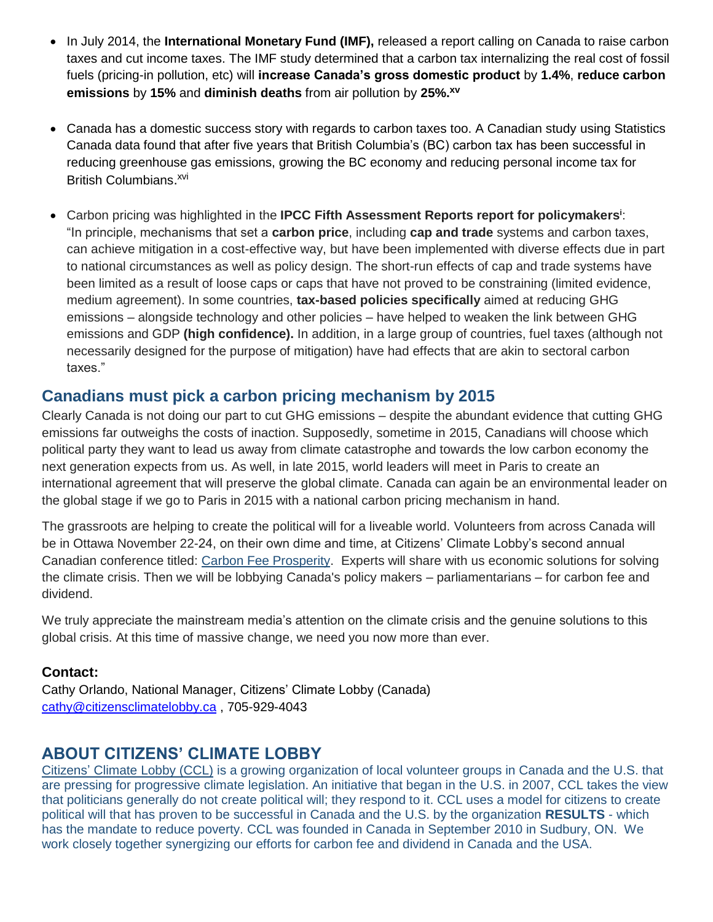- In July 2014, the **International Monetary Fund (IMF),** released a report calling on Canada to raise carbon taxes and cut income taxes. The IMF study determined that a carbon tax internalizing the real cost of fossil fuels (pricing-in pollution, etc) will **increase Canada's gross domestic product** by **1.4%**, **reduce carbon emissions** by **15%** and **diminish deaths** from air pollution by **25%. xv**
- Canada has a domestic success story with regards to carbon taxes too. A Canadian study using Statistics Canada data found that after five years that British Columbia's (BC) carbon tax has been successful in reducing greenhouse gas emissions, growing the BC economy and reducing personal income tax for British Columbians.<sup>xvi</sup>
- Carbon pricing was highlighted in the **IPCC Fifth Assessment Reports report for policymakers<sup>i</sup>** : "In principle, mechanisms that set a **carbon price**, including **cap and trade** systems and carbon taxes, can achieve mitigation in a cost-effective way, but have been implemented with diverse effects due in part to national circumstances as well as policy design. The short-run effects of cap and trade systems have been limited as a result of loose caps or caps that have not proved to be constraining (limited evidence, medium agreement). In some countries, **tax-based policies specifically** aimed at reducing GHG emissions – alongside technology and other policies – have helped to weaken the link between GHG emissions and GDP **(high confidence).** In addition, in a large group of countries, fuel taxes (although not necessarily designed for the purpose of mitigation) have had effects that are akin to sectoral carbon taxes."

## **Canadians must pick a carbon pricing mechanism by 2015**

Clearly Canada is not doing our part to cut GHG emissions – despite the abundant evidence that cutting GHG emissions far outweighs the costs of inaction. Supposedly, sometime in 2015, Canadians will choose which political party they want to lead us away from climate catastrophe and towards the low carbon economy the next generation expects from us. As well, in late 2015, world leaders will meet in Paris to create an international agreement that will preserve the global climate. Canada can again be an environmental leader on the global stage if we go to Paris in 2015 with a national carbon pricing mechanism in hand.

The grassroots are helping to create the political will for a liveable world. Volunteers from across Canada will be in Ottawa November 22-24, on their own dime and time, at Citizens' Climate Lobby's second annual Canadian conference titled: [Carbon Fee Prosperity.](http://www.citizensclimatelobby.ca/node/284) Experts will share with us economic solutions for solving the climate crisis. Then we will be lobbying Canada's policy makers – parliamentarians – for carbon fee and dividend.

We truly appreciate the mainstream media's attention on the climate crisis and the genuine solutions to this global crisis. At this time of massive change, we need you now more than ever.

### **Contact:**

Cathy Orlando, National Manager, Citizens' Climate Lobby (Canada) [cathy@citizensclimatelobby.ca](mailto:cathy@citizensclimatelobby.ca) , 705-929-4043

## **ABOUT CITIZENS' CLIMATE LOBBY**

Citizens' [Climate Lobby \(CCL\)](http://www.citizensclimatelobby.ca/) is a growing organization of local volunteer groups in Canada and the U.S. that are pressing for progressive climate legislation. An initiative that began in the U.S. in 2007, CCL takes the view that politicians generally do not create political will; they respond to it. CCL uses a model for citizens to create political will that has proven to be successful in Canada and the U.S. by the organization **[RESULTS](http://www.results-resultats.ca/index_eng.asp)** - which has the mandate to reduce poverty. CCL was founded in Canada in September 2010 in Sudbury, ON. We work closely together synergizing our efforts for carbon fee and dividend in Canada and the USA.